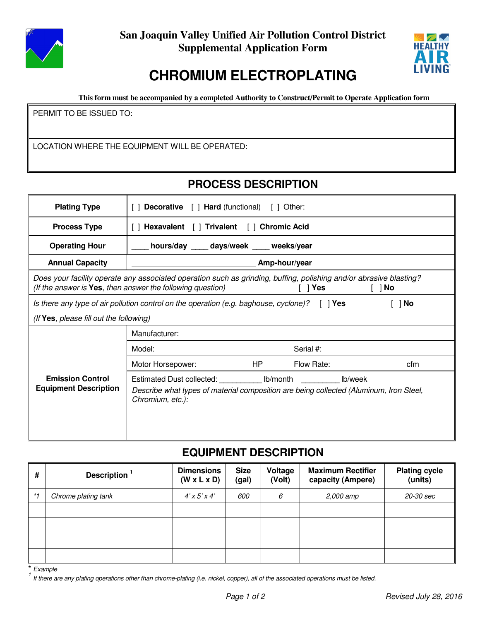

**San Joaquin Valley Unified Air Pollution Control District Supplemental Application Form**



# **CHROMIUM ELECTROPLATING**

**This form must be accompanied by a completed Authority to Construct/Permit to Operate Application form**

PERMIT TO BE ISSUED TO:

LOCATION WHERE THE EQUIPMENT WILL BE OPERATED:

## **PROCESS DESCRIPTION**

| <b>Plating Type</b>                                                                                                                                                                      | <b>Decorative</b> [ ] <b>Hard</b> (functional) [ ] Other:                                                                                        |                   |  |  |  |
|------------------------------------------------------------------------------------------------------------------------------------------------------------------------------------------|--------------------------------------------------------------------------------------------------------------------------------------------------|-------------------|--|--|--|
| <b>Process Type</b>                                                                                                                                                                      | [] Hexavalent [] Trivalent [] Chromic Acid                                                                                                       |                   |  |  |  |
| <b>Operating Hour</b>                                                                                                                                                                    | hours/day ____ days/week ____ weeks/year                                                                                                         |                   |  |  |  |
| <b>Annual Capacity</b>                                                                                                                                                                   | Amp-hour/year                                                                                                                                    |                   |  |  |  |
| Does your facility operate any associated operation such as grinding, buffing, polishing and/or abrasive blasting?<br>(If the answer is <b>Yes</b> , then answer the following question) |                                                                                                                                                  |                   |  |  |  |
| Is there any type of air pollution control on the operation (e.g. baghouse, cyclone)? $\begin{bmatrix} \end{bmatrix}$ Yes<br>1 No                                                        |                                                                                                                                                  |                   |  |  |  |
| (If Yes, please fill out the following)                                                                                                                                                  |                                                                                                                                                  |                   |  |  |  |
|                                                                                                                                                                                          | Manufacturer:                                                                                                                                    |                   |  |  |  |
|                                                                                                                                                                                          | Model:                                                                                                                                           | Serial #:         |  |  |  |
|                                                                                                                                                                                          | HP<br>Motor Horsepower:                                                                                                                          | Flow Rate:<br>cfm |  |  |  |
| <b>Emission Control</b><br><b>Equipment Description</b>                                                                                                                                  | Estimated Dust collected: Ib/month<br>Describe what types of material composition are being collected (Aluminum, Iron Steel,<br>Chromium, etc.): | lb/week           |  |  |  |

#### **EQUIPMENT DESCRIPTION**

| #    | Description <sup>1</sup> | <b>Dimensions</b><br>$(W \times L \times D)$ | <b>Size</b><br>(gal) | Voltage<br>(Volt) | <b>Maximum Rectifier</b><br>capacity (Ampere) | <b>Plating cycle</b><br>(units) |
|------|--------------------------|----------------------------------------------|----------------------|-------------------|-----------------------------------------------|---------------------------------|
| $*1$ | Chrome plating tank      | $4'$ x 5' x 4'                               | 600                  | 6                 | 2,000 amp                                     | 20-30 sec                       |
|      |                          |                                              |                      |                   |                                               |                                 |
|      |                          |                                              |                      |                   |                                               |                                 |
|      |                          |                                              |                      |                   |                                               |                                 |
|      |                          |                                              |                      |                   |                                               |                                 |

 $Example$ 

<sup>1</sup> If there are any plating operations other than chrome-plating (i.e. nickel, copper), all of the associated operations must be listed.